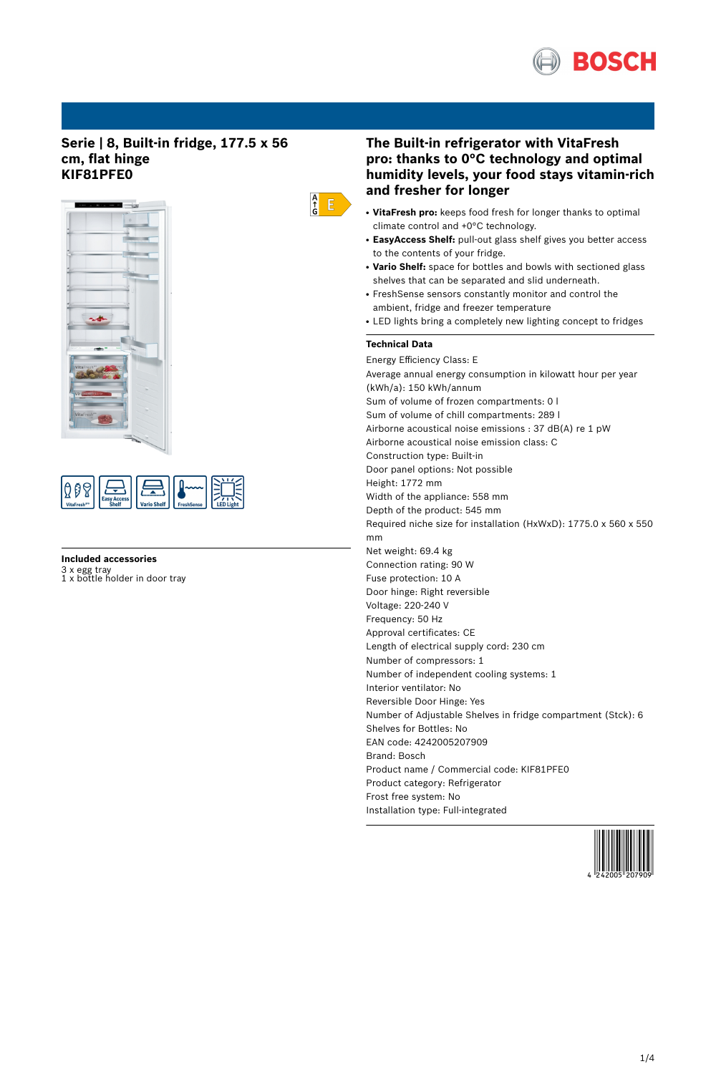

## **Serie | 8, Built-in fridge, 177.5 x 56 cm, flat hinge KIF81PFE0**





## **Included accessories**

3 x egg tray 1 x bottle holder in door tray

# **The Built-in refrigerator with VitaFresh pro: thanks to 0°C technology and optimal humidity levels, your food stays vitamin-rich and fresher for longer**

- **VitaFresh pro:** keeps food fresh for longer thanks to optimal climate control and +0°C technology.
- EasyAccess Shelf: pull-out glass shelf gives you better access to the contents of your fridge.
- Vario Shelf: space for bottles and bowls with sectioned glass shelves that can be separated and slid underneath.
- FreshSense sensors constantly monitor and control the ambient, fridge and freezer temperature
- LED lights bring a completely new lighting concept to fridges

## **Technical Data**

 $\begin{array}{c} A \\ \uparrow \\ G \end{array}$ 

Energy Efficiency Class: E Average annual energy consumption in kilowatt hour per year (kWh/a): 150 kWh/annum Sum of volume of frozen compartments: 0 l Sum of volume of chill compartments: 289 l Airborne acoustical noise emissions : 37 dB(A) re 1 pW Airborne acoustical noise emission class: C Construction type: Built-in Door panel options: Not possible Height: 1772 mm Width of the appliance: 558 mm Depth of the product: 545 mm Required niche size for installation (HxWxD): 1775.0 x 560 x 550 mm Net weight: 69.4 kg Connection rating: 90 W Fuse protection: 10 A Door hinge: Right reversible Voltage: 220-240 V Frequency: 50 Hz Approval certificates: CE Length of electrical supply cord: 230 cm Number of compressors: 1 Number of independent cooling systems: 1 Interior ventilator: No Reversible Door Hinge: Yes Number of Adjustable Shelves in fridge compartment (Stck): 6 Shelves for Bottles: No EAN code: 4242005207909 Brand: Bosch Product name / Commercial code: KIF81PFE0 Product category: Refrigerator Frost free system: No Installation type: Full-integrated

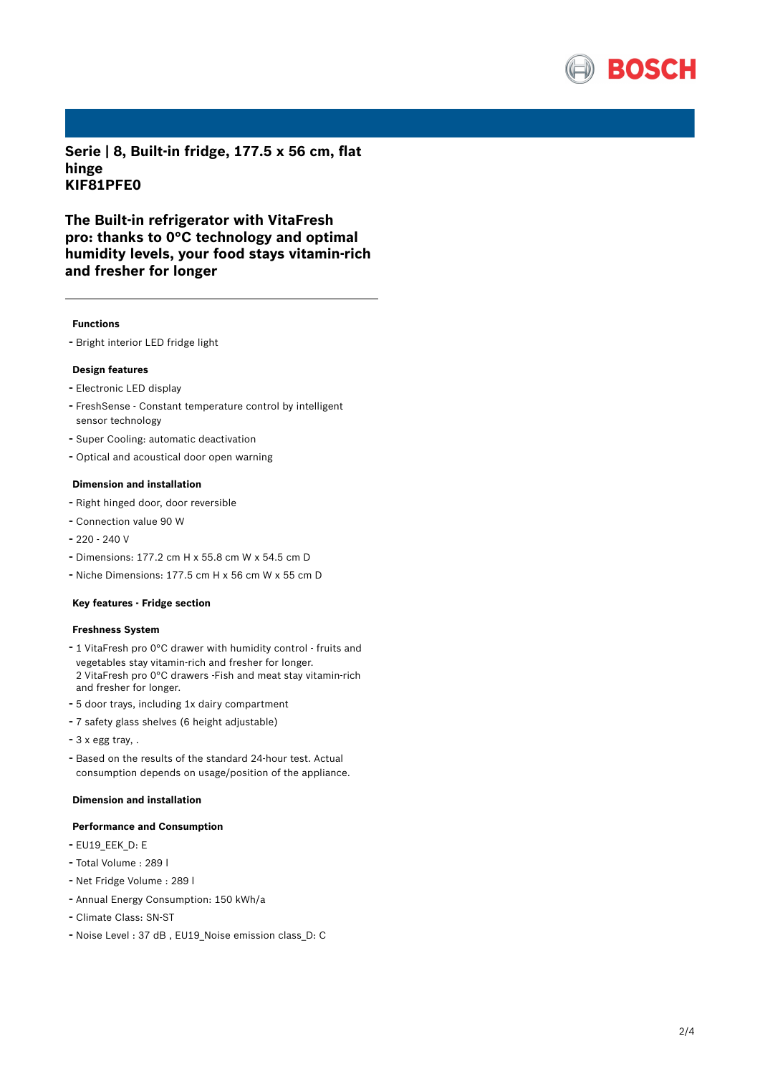

**Serie | 8, Built-in fridge, 177.5 x 56 cm, flat hinge KIF81PFE0**

**The Built-in refrigerator with VitaFresh pro: thanks to 0°C technology and optimal humidity levels, your food stays vitamin-rich and fresher for longer**

#### **Functions**

- Bright interior LED fridge light

### **Design features**

- Electronic LED display
- FreshSense Constant temperature control by intelligent sensor technology
- Super Cooling: automatic deactivation
- Optical and acoustical door open warning

### **Dimension and installation**

- Right hinged door, door reversible
- Connection value <sup>90</sup> <sup>W</sup>
- $-220 240$  V
- Dimensions: 177.2 cm H x 55.8 cm W x 54.5 cm D
- Niche Dimensions: 177.5 cm <sup>H</sup> <sup>x</sup> <sup>56</sup> cm <sup>W</sup> <sup>x</sup> <sup>55</sup> cm <sup>D</sup>

#### **Key features - Fridge section**

#### **Freshness System**

- <sup>1</sup> VitaFresh pro 0°C drawer with humidity control fruits and vegetables stay vitamin-rich and fresher for longer. 2 VitaFresh pro 0°C drawers -Fish and meat stay vitamin-rich and fresher for longer.
- <sup>5</sup> door trays, including 1x dairy compartment
- <sup>7</sup> safety glass shelves (6 height adjustable)
- <sup>3</sup> <sup>x</sup> egg tray, .
- Based on the results of the standard 24-hour test. Actual consumption depends on usage/position of the appliance.

## **Dimension and installation**

#### **Performance and Consumption**

- EU19\_EEK\_D: E
- Total Volume : <sup>289</sup> <sup>l</sup>
- Net Fridge Volume : <sup>289</sup> <sup>l</sup>
- Annual Energy Consumption: <sup>150</sup> kWh/a
- Climate Class: SN-ST
- Noise Level : <sup>37</sup> dB , EU19\_Noise emission class\_D: <sup>C</sup>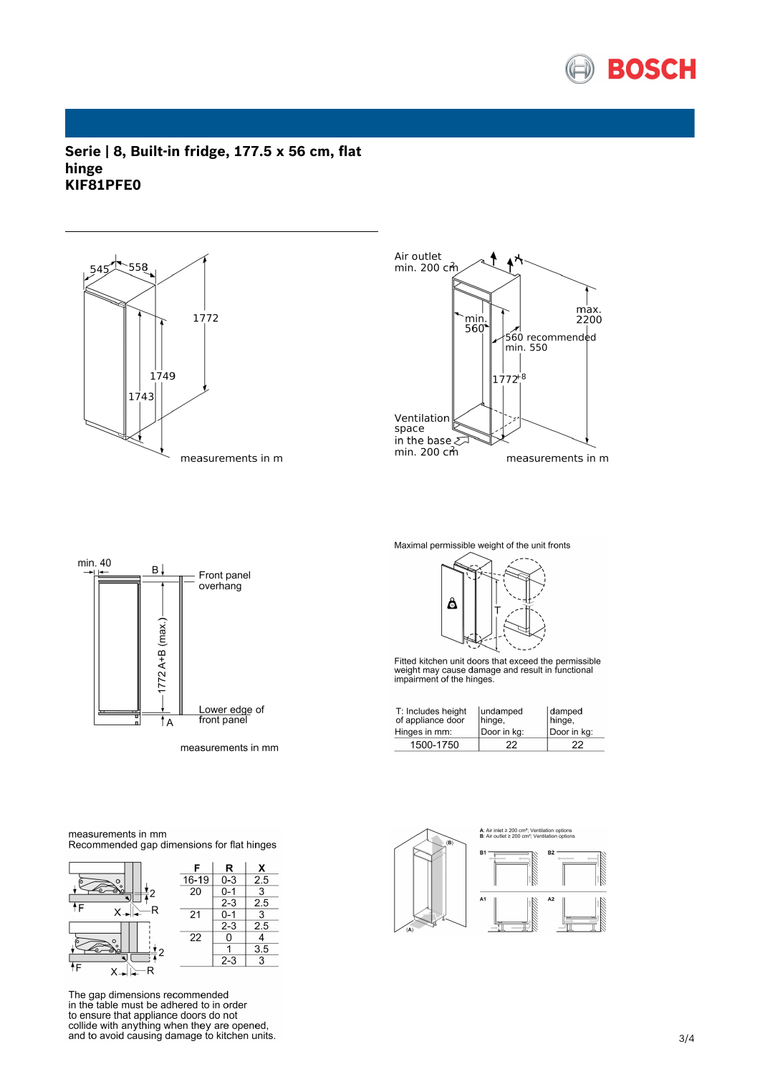

## **Serie | 8, Built-in fridge, 177.5 x 56 cm, flat hinge KIF81PFE0**





min. 40 B. Front panel overhang  $1772$  A+B (max.) Lower edge of<br>front panel  $\overline{A}$ 

measurements in mm

Maximal permissible weight of the unit fronts



Fitted kitchen unit doors that exceed the permissible<br>weight may cause damage and result in functional<br>impairment of the hinges.

| T: Includes height<br>of appliance door<br>Hinges in mm: | lundamped<br>hinge,<br>Door in kg: | damped<br>hinge,<br>Door in kg: |
|----------------------------------------------------------|------------------------------------|---------------------------------|
| 1500-1750                                                | 22                                 | 22                              |



measurements in mm Recommended gap dimensions for flat hinges



The gap dimensions recommended in the table must be adhered to in order the ensure that appliance doors do not<br>collide with anything when they are opened,<br>and to avoid causing damage to kitchen units.